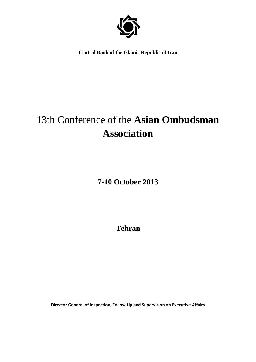

 **Central Bank of the Islamic Republic of Iran**

# 13th Conference of the **Asian Ombudsman Association**

**7-10 October 2013**

**Tehran**

**Director General of Inspection, Follow Up and Supervision on Executive Affairs**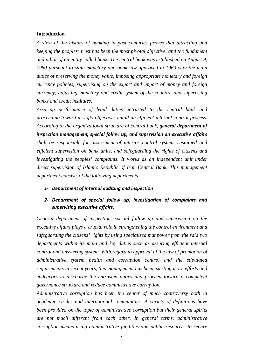#### **Introduction**

*A view of the history of banking in past centuries proves that attracting and keeping the peoples' trust has been the most pivotal objective, and the fundament and pillar of an entity called bank. The central bank was established on August 9, 1960 pursuant to state monetary and bank law approved in 1960 with the main duties of preserving the money value, imposing appropriate monetary and foreign currency policies, supervising on the export and import of money and foreign currency, adjusting monetary and credit system of the country, and supervising banks and credit institutes.* 

*Assuring performance of legal duties entrusted to the central bank and proceeding toward its lofty objectives entail an efficient internal control process. According to the organizational structure of central bank, general department of inspection management, special follow up, and supervision on executive affairs shall be responsible for assessment of interior control system, sustained and efficient supervision on bank units, and safeguarding the rights of citizens and investigating the peoples' complaints. It works as an independent unit under direct supervision of Islamic Republic of Iran Central Bank. This management department consists of the following departments:* 

#### *1‐ Department of internal auditing and inspection*

# *2‐ Department of special follow up, investigation of complaints and supervising executive affairs.*

*General department of inspection, special follow up and supervision on the executive affairs plays a crucial role in strengthening the control environment and safeguarding the citizens' rights by using specialized manpower from the said two departments within its main and key duties such as assuring efficient internal control and answering system. With regard to approval of the law of promotion of administrative system health and corruption control and the stipulated requirements in recent years, this management has been exerting more efforts and endeavors to discharge the entrusted duties and proceed toward a competent governance structure and reduce administrative corruption.* 

*Administrative corruption has been the center of much controversy both in academic circles and international communities. A variety of definitions have been provided on the topic of administrative corruption but their general spirits are not much different from each other. In general terms, administrative corruption means using administrative facilities and public resources to secure*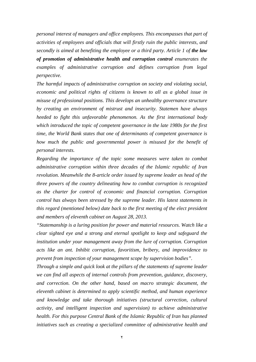*personal interest of managers and office employees. This encompasses that part of activities of employees and officials that will firstly ruin the public interests, and secondly is aimed at benefiting the employee or a third party. Article 1 of the law of promotion of administrative health and corruption control enumerates the examples of administrative corruption and defines corruption from legal perspective.* 

*The harmful impacts of administrative corruption on society and violating social, economic and political rights of citizens is known to all as a global issue in misuse of professional positions. This develops an unhealthy governance structure by creating an environment of mistrust and insecurity. Statemen have always heeded to fight this unfavorable phenomenon. As the first international body which introduced the topic of competent governance in the late 1980s for the first time, the World Bank states that one of determinants of competent governance is how much the public and governmental power is misused for the benefit of personal interests.* 

*Regarding the importance of the topic some measures were taken to combat administrative corruption within three decades of the Islamic republic of Iran revolution. Meanwhile the 8-article order issued by supreme leader as head of the three powers of the country delineating how to combat corruption is recognized as the charter for control of economic and financial corruption. Corruption control has always been stressed by the supreme leader. His latest statements in this regard (mentioned below) date back to the first meeting of the elect president and members of eleventh cabinet on August 28, 2013.* 

*"Statemanship is a luring position for power and material resources. Watch like a clear sighted eye and a strong and eternal spotlight to keep and safeguard the institution under your management away from the lure of corruption. Corruption acts like an ant. Inhibit corruption, favoritism, bribery, and improvidence to prevent from inspection of your management scope by supervision bodies".* 

*Through a simple and quick look at the pillars of the statements of supreme leader we can find all aspects of internal controls from prevention, guidance, discovery, and correction. On the other hand, based on macro strategic document, the eleventh cabinet is determined to apply scientific method, and human experience and knowledge and take thorough initiatives (structural correction, cultural activity, and intelligent inspection and supervision) to achieve administrative health. For this purpose Central Bank of the Islamic Republic of Iran has planned initiatives such as creating a specialized committee of administrative health and*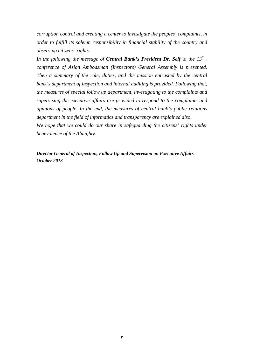*corruption control and creating a center to investigate the peoples' complaints, in order to fulfill its solemn responsibility in financial stability of the country and observing citizens' rights.* 

*In the following the message of Central Bank's President Dr. Seif to the 13<sup>th</sup>. conference of Asian Ambodzman (Inspectors) General Assembly is presented. Then a summary of the role, duties, and the mission entrusted by the central bank's department of inspection and internal auditing is provided. Following that, the measures of special follow up department, investigating to the complaints and supervising the executive affairs are provided to respond to the complaints and opinions of people. In the end, the measures of central bank's public relations department in the field of informatics and transparency are explained also.* 

*We hope that we could do our share in safeguarding the citizens' rights under benevolence of the Almighty.* 

*Director General of Inspection, Follow Up and Supervision on Executive Affairs October 2013*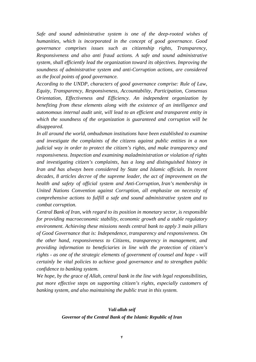*Safe and sound administrative system is one of the deep-rooted wishes of humanities, which is incorporated in the concept of good governance. Good governance comprises issues such as citizenship rights, Transparency, Responsiveness and also anti fraud actions. A safe and sound administrative system, shall efficiently lead the organization toward its objectives. Improving the soundness of administrative system and anti-Corruption actions, are considered as the focal points of good governance.* 

*According to the UNDP, characters of good governance comprise: Rule of Law, Equity, Transparency, Responsiveness, Accountability, Participation, Consensus Orientation, Effectiveness and Efficiency. An independent organization by benefiting from these elements along with the existence of an intelligence and autonomous internal audit unit, will lead to an efficient and transparent entity in which the soundness of the organization is guaranteed and corruption will be disappeared.* 

*In all around the world, ombudsman institutions have been established to examine and investigate the complaints of the citizens against public entities in a non judicial way in order to protect the citizen's rights, and make transparency and responsiveness. Inspection and examining maladministration or violation of rights and investigating citizen's complaints, has a long and distinguished history in Iran and has always been considered by State and Islamic officials. In recent decades, 8 articles decree of the supreme leader, the act of improvement on the health and safety of official system and Anti-Corruption, Iran's membership in United Nations Convention against Corruption, all emphasize on necessity of comprehensive actions to fulfill a safe and sound administrative system and to combat corruption.* 

*Central Bank of Iran, with regard to its position in monetary sector, is responsible for providing macroeconomic stability, economic growth and a stable regulatory environment. Achieving these missions needs central bank to apply 3 main pillars of Good Governance that is: Independence, transparency and responsiveness. On the other hand, responsiveness to Citizens, transparency in management, and providing information to beneficiaries in line with the protection of citizen's rights - as one of the strategic elements of government of counsel and hope - will certainly be vital policies to achieve good governance and to strengthen public confidence to banking system.* 

*We hope, by the grace of Allah, central bank in the line with legal responsibilities, put more effective steps on supporting citizen's rights, especially customers of banking system, and also maintaining the public trust in this system.* 

# *Vali allah seif Governor of the Central Bank of the Islamic Republic of Iran*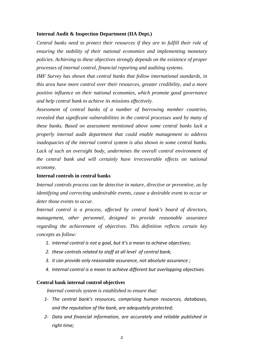### **Internal Audit & Inspection Department (IIA Dept.)**

*Central banks need to protect their resources if they are to fulfill their role of ensuring the stability of their national economies and implementing monetary policies. Achieving to these objectives strongly depends on the existence of proper processes of internal control, financial reporting and auditing systems.* 

*IMF Survey has shown that central banks that follow international standards, in this area have more control over their resources, greater credibility, and a more positive influence on their national economies, which promote good governance and help central bank to achieve its missions effectively.* 

*Assessment of central banks of a number of borrowing member countries, revealed that significant vulnerabilities in the control processes used by many of these banks. Based on assessment mentioned above some central banks lack a properly internal audit department that could enable management to address inadequacies of the internal control system is also shown in some central banks.*  Lack of such an oversight body, undermines the overall control environment of *the central bank and will certainly have irrecoverable effects on national economy.*

### **Internal controls in central banks**

*Internal controls process can be detective in nature, directive or preventive, as by identifying and correcting undesirable events, cause a desirable event to occur or deter those events to occur.* 

*Internal control is a process, affected by central bank's board of directors, management, other personnel, designed to provide reasonable assurance regarding the achievement of objectives. This definition reflects certain key concepts as follow:* 

- *1. internal control is not a goal, but it's a mean to achieve objectives;*
- *2. these controls related to staff at all level of central bank;*
- *3. it can provide only reasonable assurance, not absolute assurance ;*
- *4. Internal control is a mean to achieve different but overlapping objectives.*

### **Central bank internal control objectives**

 *Internal controls system is established to ensure that:* 

- *1‐ The central bank's resources, comprising human resources, databases, and the reputation of the bank, are adequately protected;*
- *2‐ Data and financial information, are accurately and reliable published in right time;*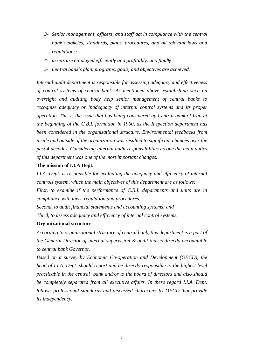- *3‐ Senior management, officers, and staff act in compliance with the central bank's policies, standards, plans, procedures, and all relevant laws and regulations;*
- *4‐ assets are employed efficiently and profitably; and finally*
- *5‐ Central bank's plan, programs, goals, and objectives are achieved.*

*Internal audit department is responsible for assessing adequacy and effectiveness of control systems of central bank. As mentioned above, establishing such an oversight and auditing body help senior management of central banks to recognize adequacy or inadequacy of internal control systems and its proper operation. This is the issue that has being considered by Central bank of Iran at the beginning of the C.B.I. formation in 1960, as the Inspection department has been considered in the organizational structure. Environmental feedbacks from inside and outside of the organization was resulted to significant changes over the past 4 decades. Considering internal audit responsibilities as one the main duties of this department was one of the most important changes.* 

### **The mission of I.I.A Dept.**

*I.I.A. Dept. is responsible for evaluating the adequacy and efficiency of internal controls system, which the main objectives of this department are as follows: First, to examine if the performance of C.B.I. departments and units are in* 

*compliance with laws, regulation and procedures;* 

*Second, to audit financial statements and accounting systems; and Third, to assess adequacy and efficiency of internal control systems.*

### **Organizational structure**

*According to organizational structure of central bank, this department is a part of the General Director of internal supervision & audit that is directly accountable to central bank Governor.* 

*Based on a survey by Economic Co-operation and Development (OECD), the head of I.I.A. Dept. should report and be directly responsible to the highest level practicable in the central bank and/or to the board of directors and also should*  be completely separated from all executive affairs. In these regard I.I.A. Dept. *follows professional standards and discussed characters by OECD that provide its independency.*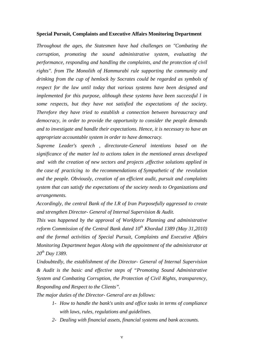#### **Special Pursuit, Complaints and Executive Affairs Monitoring Department**

*Throughout the ages, the Statesmen have had challenges on "Combating the corruption, promoting the sound administrative system, evaluating the performance, responding and handling the complaints, and the protection of civil rights". from The Monolith of Hammurabi rule supporting the community and drinking from the cup of hemlock by Socrates could be regarded as symbols of respect for the law until today that various systems have been designed and implemented for this purpose, although these systems have been successful l in some respects, but they have not satisfied the expectations of the society. Therefore they have tried to establish a connection between bureaucracy and democracy, in order to provide the opportunity to consider the people demands and to investigate and handle their expectations. Hence, it is necessary to have an appropriate accountable system in order to have democracy.* 

*Supreme Leader's speech , directorate-General intentions based on the significance of the matter led to actions taken in the mentioned areas developed and with the creation of new sectors and projects ,effective solutions applied in the case of practicing to the recommendations of Sympathetic of the revolution and the people. Obviously, creation of an efficient audit, pursuit and complaints system that can satisfy the expectations of the society needs to Organizations and arrangements.*

*Accordingly, the central Bank of the I.R of Iran Purposefully aggressed to create and strengthen Director- General of Internal Supervision & Audit.* 

*This was happened by the approval of Workforce Planning and administrative reform Commission of the Central Bank dated 10<sup>th</sup> Khordad 1389 (May 31.2010) and the formal activities of Special Pursuit, Complaints and Executive Affairs Monitoring Department began Along with the appointment of the administrator at 20th Day 1389.* 

*Undoubtedly, the establishment of the Director- General of Internal Supervision & Audit is the basic and effective steps of "Promoting Sound Administrative System and Combating Corruption, the Protection of Civil Rights, transparency, Responding and Respect to the Clients".* 

*The major duties of the Director- General are as follows:* 

- *1- How to handle the bank's units and office tasks in terms of compliance with laws, rules, regulations and guidelines.*
- *2- Dealing with financial assets, financial systems and bank accounts.*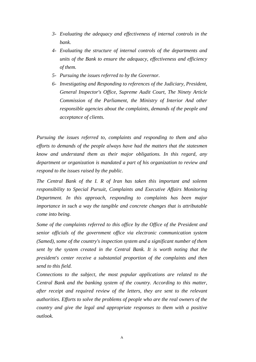- *3- Evaluating the adequacy and effectiveness of internal controls in the bank.*
- *4- Evaluating the structure of internal controls of the departments and units of the Bank to ensure the adequacy, effectiveness and efficiency of them.*
- *5- Pursuing the issues referred to by the Governor.*
- *6- Investigating and Responding to references of the Judiciary, President, General Inspector's Office, Supreme Audit Court, The Ninety Article Commission of the Parliament, the Ministry of Interior And other responsible agencies about the complaints, demands of the people and acceptance of clients.*

*Pursuing the issues referred to, complaints and responding to them and also efforts to demands of the people always have had the matters that the statesmen know and understand them as their major obligations. In this regard, any department or organization is mandated a part of his organization to review and respond to the issues raised by the public.* 

*The Central Bank of the I. R of Iran has taken this important and solemn responsibility to Special Pursuit, Complaints and Executive Affairs Monitoring Department. In this approach, responding to complaints has been major importance in such a way the tangible and concrete changes that is attributable come into being.* 

*Some of the complaints referred to this office by the Office of the President and senior officials of the government office via electronic communication system (Samed), some of the country's inspection system and a significant number of them sent by the system created in the Central Bank. It is worth noting that the president's center receive a substantial proportion of the complaints and then send to this field.* 

*Connections to the subject, the most popular applications are related to the Central Bank and the banking system of the country. According to this matter, after receipt and required review of the letters, they are sent to the relevant authorities. Efforts to solve the problems of people who are the real owners of the country and give the legal and appropriate responses to them with a positive outlook.*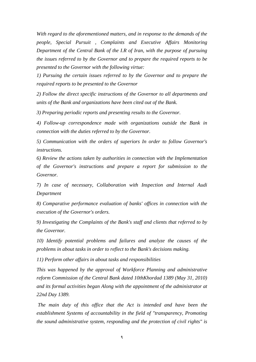*With regard to the aforementioned matters, and in response to the demands of the people, Special Pursuit , Complaints and Executive Affairs Monitoring Department of the Central Bank of the I.R of Iran, with the purpose of pursuing the issues referred to by the Governor and to prepare the required reports to be presented to the Governor with the following virtue:* 

*1) Pursuing the certain issues referred to by the Governor and to prepare the required reports to be presented to the Governor*

*2) Follow the direct specific instructions of the Governor to all departments and units of the Bank and organizations have been cited out of the Bank.*

*3) Preparing periodic reports and presenting results to the Governor.* 

*4) Follow-up correspondence made with organizations outside the Bank in connection with the duties referred to by the Governor.*

*5) Communication with the orders of superiors In order to follow Governor's instructions.* 

*6) Review the actions taken by authorities in connection with the Implementation of the Governor's instructions and prepare a report for submission to the Governor.* 

*7) In case of necessary, Collaboration with Inspection and Internal Audi Department* 

*8) Comparative performance evaluation of banks' offices in connection with the execution of the Governor's orders.* 

*9) Investigating the Complaints of the Bank's staff and clients that referred to by the Governor.* 

*10) Identify potential problems and failures and analyze the causes of the problems in about tasks in order to reflect to the Bank's decisions making.* 

*11) Perform other affairs in about tasks and responsibilities* 

*This was happened by the approval of Workforce Planning and administrative reform Commission of the Central Bank dated 10thKhordad 1389 (May 31, 2010) and its formal activities began Along with the appointment of the administrator at 22nd Day 1389.* 

 *The main duty of this office that the Act is intended and have been the establishment Systems of accountability in the field of "transparency, Promoting the sound administrative system, responding and the protection of civil rights" is*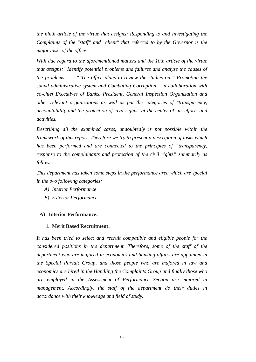*the ninth article of the virtue that assigns: Responding to and Investigating the Complaints of the "staff" and "client" that referred to by the Governor is the major tasks of the office.* 

*With due regard to the aforementioned matters and the 10th article of the virtue that assigns:" Identify potential problems and failures and analyze the causes of the problems ……." The office plans to review the studies on " Promoting the sound administrative system and Combating Corruption " in collaboration with co-chief Executives of Banks, President, General Inspection Organization and other relevant organizations as well as put the categories of "transparency, accountability and the protection of civil rights" at the center of its efforts and activities.* 

*Describing all the examined cases, undoubtedly is not possible within the framework of this report. Therefore we try to present a description of tasks which has been performed and are connected to the principles of "transparency, response to the complainants and protection of the civil rights" summarily as follows:* 

*This department has taken some steps in the performance area which are special in the two following categories:* 

- *A) Interior Performance*
- *B) Exterior Performance*

### **A) Interior Performance:**

#### **1. Merit Based Recruitment:**

*It has been tried to select and recruit compatible and eligible people for the considered positions in the department. Therefore, some of the staff of the department who are majored in economics and banking affairs are appointed in the Special Pursuit Group, and those people who are majored in law and economics are hired in the Handling the Complaints Group and finally those who are employed in the Assessment of Performance Section are majored in management. Accordingly, the staff of the department do their duties in accordance with their knowledge and field of study.*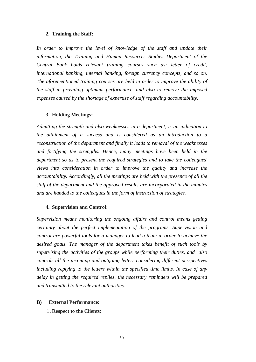#### **2. Training the Staff:**

In order to improve the level of knowledge of the staff and update their *information, the Training and Human Resources Studies Department of the Central Bank holds relevant training courses such as: letter of credit, international banking, internal banking, foreign currency concepts, and so on. The aforementioned training courses are held in order to improve the ability of the staff in providing optimum performance, and also to remove the imposed expenses caused by the shortage of expertise of staff regarding accountability.* 

#### **3. Holding Meetings:**

*Admitting the strength and also weaknesses in a department, is an indication to the attainment of a success and is considered as an introduction to a reconstruction of the department and finally it leads to removal of the weaknesses and fortifying the strengths. Hence, many meetings have been held in the department so as to present the required strategies and to take the colleagues' views into consideration in order to improve the quality and increase the accountability. Accordingly, all the meetings are held with the presence of all the staff of the department and the approved results are incorporated in the minutes and are handed to the colleagues in the form of instruction of strategies.* 

#### **4. Supervision and Control:**

*Supervision means monitoring the ongoing affairs and control means getting certainty about the perfect implementation of the programs. Supervision and control are powerful tools for a manager to lead a team in order to achieve the desired goals. The manager of the department takes benefit of such tools by supervising the activities of the groups while performing their duties, and also controls all the incoming and outgoing letters considering different perspectives including replying to the letters within the specified time limits. In case of any delay in getting the required replies, the necessary reminders will be prepared and transmitted to the relevant authorities.* 

#### **B) External Performance:**

1. **Respect to the Clients:**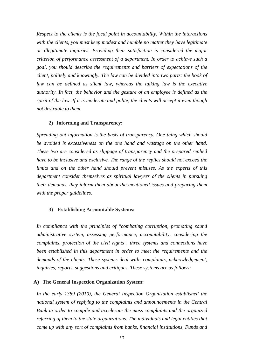*Respect to the clients is the focal point in accountability. Within the interactions with the clients, you must keep modest and humble no matter they have legitimate or illegitimate inquiries. Providing their satisfaction is considered the major criterion of performance assessment of a department. In order to achieve such a goal, you should describe the requirements and barriers of expectations of the client, politely and knowingly. The law can be divided into two parts: the book of*  law can be defined as silent law, whereas the talking law is the executive *authority. In fact, the behavior and the gesture of an employee is defined as the spirit of the law. If it is moderate and polite, the clients will accept it even though not desirable to them.* 

#### **2) Informing and Transparency:**

*Spreading out information is the basis of transparency. One thing which should be avoided is excessiveness on the one hand and wastage on the other hand. These two are considered as slippage of transparency and the prepared replied have to be inclusive and exclusive. The range of the replies should not exceed the limits and on the other hand should prevent misuses. As the experts of this department consider themselves as spiritual lawyers of the clients in pursuing their demands, they inform them about the mentioned issues and preparing them with the proper guidelines.* 

#### **3) Establishing Accountable Systems:**

*In compliance with the principles of "combating corruption, promoting sound administrative system, assessing performance, accountability, considering the complaints, protection of the civil rights", three systems and connections have been established in this department in order to meet the requirements and the demands of the clients. These systems deal with: complaints, acknowledgement, inquiries, reports, suggestions and critiques. These systems are as follows:* 

### **A) The General Inspection Organization System:**

*In the early 1389 (2010), the General Inspection Organization established the national system of replying to the complaints and announcements in the Central Bank in order to compile and accelerate the mass complaints and the organized referring of them to the state organizations. The individuals and legal entities that come up with any sort of complaints from banks, financial institutions, Funds and*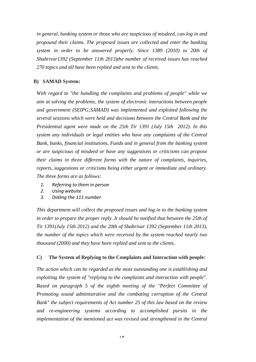*in general, banking system or those who are suspicious of misdeed, can log in and propound their claims. The proposed issues are collected and enter the banking system in order to be answered properly. Since 1389 (2010) to 20th of Shahrivar1392 (September 11th 2013)the number of received issues has reached 270 topics and all have been replied and sent to the clients.* 

### **B) SAMAD System:**

*With regard to "the handling the complaints and problems of people" while we aim at solving the problems, the system of electronic interactions between people and government (SEIPG;SAMAD) was implemented and exploited following the several sessions which were held and decisions between the Central Bank and the Presidential agent were made on the 25th Tir 1391 (July 15th 2012). In this system any individuals or legal entities who have any complaints of the Central Bank, banks, financial institutions, Funds and in general from the banking system or are suspicious of misdeed or have any suggestions or criticisms can propose their claims in three different forms with the nature of complaints, inquiries, reports, suggestions or criticisms being either urgent or immediate and ordinary. The three forms are as follows:* 

- *1. Referring to them in person*
- *2. Using website*
- *3. Dialing the 111 number*

*This department will collect the proposed issues and log in to the banking system*  in order to prepare the proper reply. It should be notified that between the 25th of *Tir 1391(July 15th 2012) and the 20th of Shahrivar 1392 (September 11th 2013), the number of the topics which were received by the system reached nearly two thousand (2000) and they have been replied and sent to the clients.* 

### **C) The System of Replying to the Complaints and Interaction with people:**

*The action which can be regarded as the most outstanding one is establishing and exploiting the system of "replying to the complaints and interaction with people". Based on paragraph 5 of the eighth meeting of the "Perfect Committee of Promoting sound administrative and the combating corruption of the Central Bank" the subject requirements of Act number 25 of this law based on the review and re-engineering systems according to accomplished pursits in the implementation of the mentioned act was revised and strengthened in the Central*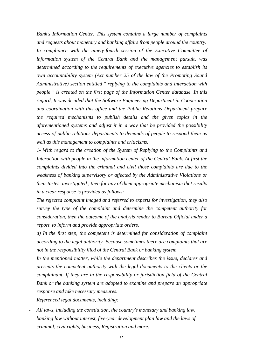*Bank's Information Center. This system contains a large number of complaints and requests about monetary and banking affairs from people around the country. In compliance with the ninety-fourth session of the Executive Committee of information system of the Central Bank and the management pursuit, was determined according to the requirements of executive agencies to establish its own accountability system (Act number 25 of the law of the Promoting Sound Administrative) section entitled " replying to the complaints and interaction with people " is created on the first page of the Information Center database. In this regard, It was decided that the Software Engineering Department in Cooperation and coordination with this office and the Public Relations Department prepare the required mechanisms to publish details and the given topics in the aforementioned systems and adjust it in a way that be provided the possibility access of public relations departments to demands of people to respond them as well as this management to complaints and criticisms.* 

*1- With regard to the creation of the System of Replying to the Complaints and Interaction with people in the information center of the Central Bank. At first the complaints divided into the criminal and civil those complaints are due to the weakness of banking supervisory or affected by the Administrative Violations or their tastes investigated , then for any of them appropriate mechanism that results in a clear response is provided as follows:* 

*The rejected complaint imaged and referred to experts for investigation, they also survey the type of the complaint and determine the competent authority for consideration, then the outcome of the analysis render to Bureau Official under a report to inform and provide appropriate orders.* 

*a) In the first step, the competent is determined for consideration of complaint according to the legal authority. Because sometimes there are complaints that are not in the responsibility filed of the Central Bank or banking system.* 

*In the mentioned matter, while the department describes the issue, declares and presents the competent authority with the legal documents to the clients or the complainant. If they are in the responsibility or jurisdiction field of the Central Bank or the banking system are adopted to examine and prepare an appropriate response and take necessary measures.* 

*Referenced legal documents, including:* 

- *All laws, including the constitution, the country's monetary and banking law, banking law without interest, five-year development plan law and the laws of criminal, civil rights, business, Registration and more.*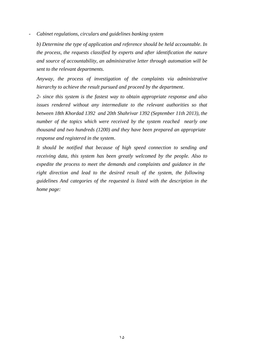- *Cabinet regulations, circulars and guidelines banking system* 

*b) Determine the type of application and reference should be held accountable*. *In the process, the requests classified by experts and after identification the nature and source of accountability, an administrative letter through automation will be sent to the relevant departments*.

*Anyway, the process of investigation of the complaints via administrative hierarchy to achieve the result pursued and proceed by the department*.

*2- since this system is the fastest way to obtain appropriate response and also issues rendered without any intermediate to the relevant authorities so that between 18th Khordad 1392 and 20th Shahrivar 1392 (September 11th 2013), the number of the topics which were received by the system reached nearly one thousand and two hundreds (1200) and they have been prepared an appropriate response and registered in the system*.

*It should be notified that because of high speed connection to sending and receiving data, this system has been greatly welcomed by the people. Also to expedite the process to meet the demands and complaints and guidance in the right direction and lead to the desired result of the system, the following guidelines And categories of the requested is listed with the description in the home page:*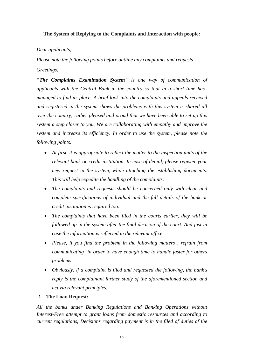### **The System of Replying to the Complaints and Interaction with people:**

### *Dear applicants;*

*Please note the following points before outline any complaints and requests* : *Greetings;* 

*"The Complaints Examination System" is one way of communication of applicants with the Central Bank in the country so that in a short time has managed to find its place*. *A brief look into the complaints and appeals received and registered in the system shows the problems with this system is shared all over the country; rather pleased and proud that we have been able to set up this system a step closer to you. We are collaborating with empathy and improve the system and increase its efficiency. In order to use the system, please note the following points:* 

- *At first, it is appropriate to reflect the matter to the inspection units of the relevant bank or credit institution. In case of denial, please register your new request in the system, while attaching the establishing documents. This will help expedite the handling of the complaints*.
- *The complaints and requests should be concerned only with clear and complete specifications of individual and the full details of the bank or credit institution is required too.*
- *The complaints that have been filed in the courts earlier, they will be followed up in the system after the final decision of the court. And just in case the information is reflected in the relevant office*.
- *Please, if you find the problem in the following matters* , *refrain from communicating in order to have enough time to handle faster for others problems*.
- *Obviously, if a complaint is filed and requested the following, the bank's reply is the complainant further study of the aforementioned section and act via relevant principles.*

### **1‐ The Loan Request:**

*All the banks under Banking Regulations and Banking Operations without Interest-Free attempt to grant loans from domestic resources and according to current regulations, Decisions regarding payment is in the filed of duties of the*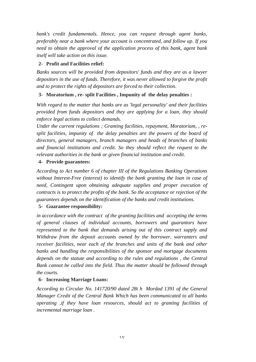*bank's credit fundamentals. Hence, you can request through agent banks, preferably near a bank where your account is concentrated, and follow up*. *If you need to obtain the approval of the application process of this bank, agent bank itself will take action on this issue*.

# **2- Profit and Facilities relief:**

*Banks sources will be provided from depositors' funds and they are as a lawyer depositors in the use of funds. Therefore, it was never allowed to forgive the profit and to protect the rights of depositors are forced to their collection*.

# **3- Moratorium , re- split Facilities , Impunity of the delay penalties :**

*With regard to the matter that banks are as 'legal personality' and their facilities provided from funds depositors and they are applying for a loan, they should enforce legal actions to collect demands.* 

*Under the current regulations ; Granting facilities, repayment, Moratorium, , resplit facilities, impunity of the delay penalties are the powers of the board of directors, general managers, branch managers and heads of branches of banks and financial institutions and credit. So they should reflect the request to the relevant authorities in the bank or given financial institution and credit.* 

# **4- Provide guarantees:**

*According to Act number 6 of chapter III of the Regulations Banking Operations without Interest-Free (interest) to identify the bank granting the loan in case of need, Contingent upon obtaining adequate supplies and proper execution of contracts is to protect the profits of the bank. So the acceptance or rejection of the guarantees depends on the identification of the banks and credit institutions.* 

# **5- Guarantee responsibility:**

*in accordance with the contract of the granting facilities and accepting the terms of general clauses of individual accounts, borrowers and guarantors have represented to the bank that demands arising out of this contract supply and Withdraw from the deposit accounts owned by the borrower, warranters and receiver facilities, near each of the branches and units of the bank and other banks and handling the responsibilities of the sponsor and mortgage documents depends on the statute and according to the rules and regulations , the Central Bank cannot be called into the field. Thus the matter should be followed through the courts.* 

# **6- Increasing Marriage Loans:**

*According to Circular No. 141720/90 dated 28t h Mordad 1391 of the General Manager Credit of the Central Bank Which has been communicated to all banks operating ,if they have loan resources, should act to granting facilities of incremental marriage loan .*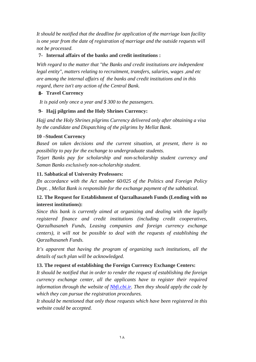*It should be notified that the deadline for application of the marriage loan facility is one year from the date of registration of marriage and the outside requests will not be processed.*

# **7- Internal affairs of the banks and credit institutions :**

*With regard to the matter that "the Banks and credit institutions are independent legal entity", matters relating to recruitment, transfers, salaries, wages ,and etc are among the internal affairs of the banks and credit institutions and in this regard, there isn't any action of the Central Bank.* 

# **8‐ Travel Currency**

*It is paid only once a year and \$ 300 to the passengers.* 

# **9- Hajj pilgrims and the Holy Shrines Currency:**

*Hajj and the Holy Shrines pilgrims Currency delivered only after obtaining a visa by the candidate and Dispatching of the pilgrims by Mellat Bank.* 

# **10 –Student Currency**

*Based on taken decisions and the current situation, at present, there is no possibility to pay for the exchange to undergraduate students.* 

*Tejart Banks pay for scholarship and non-scholarship student currency and Saman Banks exclusively non-scholarship student.* 

### **11. Sabbatical of University Professors:**

*fIn accordance with the Act number 60/025 of the Politics and Foreign Policy Dept. , Mellat Bank is responsible for the exchange payment of the sabbatical.* 

# **12. The Request for Establishment of Qarzalhasaneh Funds (Lending with no interest institutions):**

*Since this bank is currently aimed at organizing and dealing with the legally registered finance and credit institutions (including credit cooperatives, Qarzalhasaneh Funds, Leasing companies and foreign currency exchange centers), it will not be possible to deal with the requests of establishing the Qarzalhasaneh Funds.* 

*It's apparent that having the program of organizing such institutions, all the details of such plan will be acknowledged.* 

# **13. The request of establishing the Foreign Currency Exchange Centers:**

*It should be notified that in order to render the request of establishing the foreign currency exchange center, all the applicants have to register their required information through the website of Nbfi.cbi.ir. Then they should apply the code by which they can pursue the registration procedures.* 

*It should be mentioned that only those requests which have been registered in this website could be accepted.*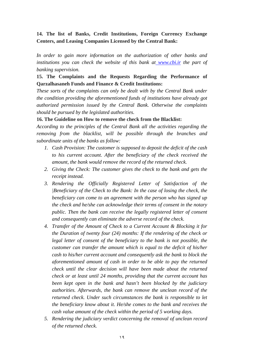# **14. The list of Banks, Credit Institutions, Foreign Currency Exchange Centers, and Leasing Companies Licensed by the Central Bank:**

*In order to gain more information on the authorization of other banks and*  institutions you can check the website of this bank at www.cbi.ir the part of *banking supervision.* 

**15. The Complaints and the Requests Regarding the Performance of Qarzalhasaneh Funds and Finance & Credit Institutions:** 

*These sorts of the complaints can only be dealt with by the Central Bank under the condition providing the aforementioned funds of institutions have already got authorized permission issued by the Central Bank. Otherwise the complaints should be pursued by the legislated authorities.* 

**16. The Guideline on How to remove the check from the Blacklist:** 

*According to the principles of the Central Bank all the activities regarding the removing from the blacklist, will be possible through the branches and subordinate units of the banks as follow:* 

- *1. Cash Provision: The customer is supposed to deposit the deficit of the cash to his current account. After the beneficiary of the check received the amount, the bank would remove the record of the returned check.*
- *2. Giving the Check: The customer gives the check to the bank and gets the receipt instead.*
- *3. Rendering the Officially Registered Letter of Satisfaction of the |Beneficiary of the Check to the Bank: In the case of losing the check, the beneficiary can come to an agreement with the person who has signed up the check and he/she can acknowledge their terms of consent in the notary public. Then the bank can receive the legally registered letter of consent and consequently can eliminate the adverse record of the check.*
- *4. Transfer of the Amount of Check to a Current Account & Blocking it for the Duration of twenty four (24) months: If the rendering of the check or legal letter of consent of the beneficiary to the bank is not possible, the customer can transfer the amount which is equal to the deficit of his/her cash to his/her current account and consequently ask the bank to block the aforementioned amount of cash in order to be able to pay the returned check until the clear decision will have been made about the returned check or at least until 24 months, providing that the current account has been kept open in the bank and hasn't been blocked by the judiciary authorities. Afterwards, the bank can remove the unclean record of the returned check. Under such circumstances the bank is responsible to let the beneficiary know about it. He/she comes to the bank and receives the cash value amount of the check within the period of 5 working days.*
- *5. Rendering the judiciary verdict concerning the removal of unclean record of the returned check.*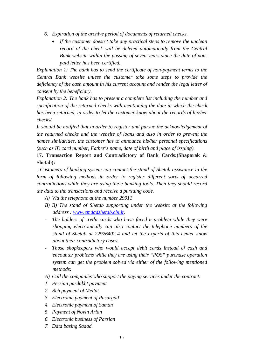- *6. Expiration of the archive period of documents of returned checks.* 
	- *If the customer doesn't take any practical steps to remove the unclean record of the check will be deleted automatically from the Central Bank website within the passing of seven years since the date of nonpaid letter has been certified.*

*Explanation 1: The bank has to send the certificate of non-payment terms to the Central Bank website unless the customer take some steps to provide the deficiency of the cash amount in his current account and render the legal letter of consent by the beneficiary.* 

*Explanation 2: The bank has to present a complete list including the number and specification of the returned checks with mentioning the date in which the check has been returned, in order to let the customer know about the records of his/her checks/* 

*It should be notified that in order to register and pursue the acknowledgement of the returned checks and the website of loans and also in order to prevent the names similarities, the customer has to announce his/her personal specifications (such as ID card number, Father's name, date of birth and place of issuing).* 

**17. Transaction Report and Contradictory of Bank Cards:(Shaparak & Shetab):** 

*- Customers of banking system can contact the stand of Shetab assistance in the form of following methods in order to register different sorts of occurred contradictions while they are using the e-banking tools. Then they should record the data to the transactions and receive a pursuing code.* 

*A) Via the telephone at the number 29911* 

- *B) B) The stand of Shetab supporting under the website at the following address : www.emdadshetab.cbi.ir.*
- *The holders of credit cards who have faced a problem while they were shopping electronically can also contact the telephone numbers of the stand of Shetab at 22926402-4 and let the experts of this center know about their contradictory cases.*
- *Those shopkeepers who would accept debit cards instead of cash and encounter problems while they are using their "POS" purchase operation system can get the problem solved via either of the following mentioned methods:*
- *A) Call the companies who support the paying services under the contract:*
- *1. Persian pardakht payment*
- *2. Beh payment of Mellat*
- *3. Electronic payment of Pasargad*
- *4. Electronic payment of Saman*
- *5. Payment of Novin Arian*
- *6. Electronic business of Parsian*
- *7. Data basing Sadad*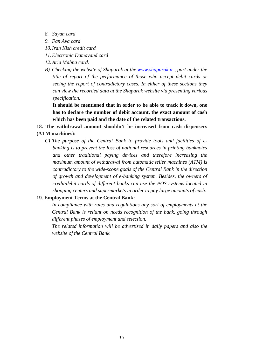- *8. Sayan card*
- *9. Fan Ava card*
- *10.Iran Kish credit card*
- *11.Electronic Damavand card*
- *12.Aria Mabna card.*
- *B) Checking the website of Shaparak at the www.shaparak.ir , part under the title of report of the performance of those who accept debit cards or seeing the report of contradictory cases. In either of these sections they can view the recorded data at the Shaparak website via presenting various specification.*

**It should be mentioned that in order to be able to track it down, one has to declare the number of debit account, the exact amount of cash which has been paid and the date of the related transactions.** 

**18. The withdrawal amount shouldn't be increased from cash dispensers (ATM machines):** 

*C) The purpose of the Central Bank to provide tools and facilities of ebanking is to prevent the loss of national resources in printing banknotes and other traditional paying devices and therefore increasing the maximum amount of withdrawal from automatic teller machines (ATM) is contradictory to the wide-scope goals of the Central Bank in the direction of growth and development of e-banking system. Besides, the owners of credit/debit cards of different banks can use the POS systems located in shopping centers and supermarkets in order to pay large amounts of cash.* 

### **19. Employment Terms at the Central Bank:**

*In compliance with rules and regulations any sort of employments at the Central Bank is reliant on needs recognition of the bank, going through different phases of employment and selection.* 

*The related information will be advertised in daily papers and also the website of the Central Bank.*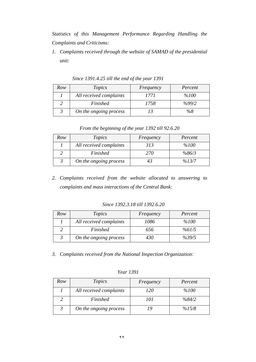*Statistics of this Management Performance Regarding Handling the Complaints and Criticisms:* 

*1. Complaints received through the website of SAMAD of the presidential unit:* 

| Row | Topics                  | Frequency | Percent         |
|-----|-------------------------|-----------|-----------------|
|     | All received complaints | 1771      | %100            |
|     | Finished                | 1758      | $\frac{9}{992}$ |
|     | On the ongoing process  |           | %8              |

*Since 1391.4.25 till the end of the year 1391* 

*From the beginning of the year 1392 till 92.6.20* 

| Row | <i>Topics</i>           | Frequency | Percent |
|-----|-------------------------|-----------|---------|
|     | All received complaints | 313       | %100    |
|     | Finished                | 270       | %86/3   |
|     | On the ongoing process  |           | %13/7   |

*2. Complaints received from the website allocated to answering to complaints and mass interactions of the Central Bank:* 

*Since 1392.3.18 till 1392.6.20* 

| Row | Topics                  | Frequency | Percent           |
|-----|-------------------------|-----------|-------------------|
|     | All received complaints | 1086      | %100              |
|     | Finished                | 656       | %61/5             |
|     | On the ongoing process  | 430       | $\frac{9}{6}39/5$ |

*3. Complaints received from the National Inspection Organization:* 

| Row | Topics                  | Frequency | Percent |
|-----|-------------------------|-----------|---------|
|     | All received complaints | 120       | %100    |
|     | Finished                | 101       | %84/2   |
|     | On the ongoing process  | ΙY        | %15/8   |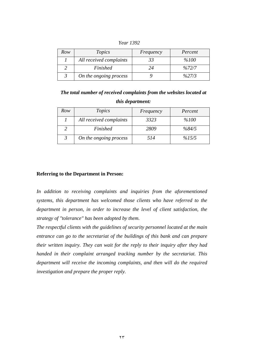| Row | Topics                  | Frequency | Percent            |
|-----|-------------------------|-----------|--------------------|
|     | All received complaints | 33        | %100               |
|     | Finished                | 24        | $\frac{9}{672}$ /7 |
|     | On the ongoing process  |           | $\frac{9}{27/3}$   |

*The total number of received complaints from the websites located at this department:* 

| Row | Topics                  | Frequency | Percent |
|-----|-------------------------|-----------|---------|
|     | All received complaints | 3323      | %100    |
|     | Finished                | 2809      | %84/5   |
|     | On the ongoing process  | 514       | %15/5   |

#### **Referring to the Department in Person:**

*In addition to receiving complaints and inquiries from the aforementioned systems, this department has welcomed those clients who have referred to the department in person, in order to increase the level of client satisfaction, the strategy of "tolerance" has been adopted by them.* 

*The respectful clients with the guidelines of security personnel located at the main entrance can go to the secretariat of the buildings of this bank and can prepare their written inquiry. They can wait for the reply to their inquiry after they had handed in their complaint arranged tracking number by the secretariat. This department will receive the incoming complaints, and then will do the required investigation and prepare the proper reply.*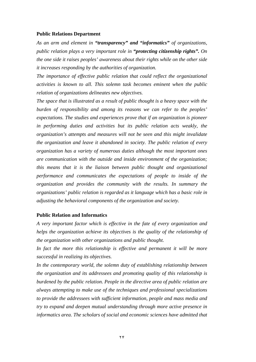#### **Public Relations Department**

*As an arm and element in "transparency" and "informatics" of organizations, public relation plays a very important role in "protecting citizenship rights". On the one side it raises peoples' awareness about their rights while on the other side it increases responding by the authorities of organization.* 

*The importance of effective public relation that could reflect the organizational activities is known to all. This solemn task becomes eminent when the public relation of organizations delineates new objectives.* 

*The space that is illustrated as a result of public thought is a heavy space with the burden of responsibility and among its reasons we can refer to the peoples' expectations. The studies and experiences prove that if an organization is pioneer in performing duties and activities but its public relation acts weakly, the organization's attempts and measures will not be seen and this might invalidate the organization and leave it abandoned in society. The public relation of every organization has a variety of numerous duties although the most important ones are communication with the outside and inside environment of the organization; this means that it is the liaison between public thought and organizational performance and communicates the expectations of people to inside of the organization and provides the community with the results. In summary the organizations' public relation is regarded as it language which has a basic role in adjusting the behavioral components of the organization and society.* 

### **Public Relation and Informatics**

*A very important factor which is effective in the fate of every organization and helps the organization achieve its objectives is the quality of the relationship of the organization with other organizations and public thought.* 

In fact the more this relationship is effective and permanent it will be more *successful in realizing its objectives.* 

*In the contemporary world, the solemn duty of establishing relationship between the organization and its addressees and promoting quality of this relationship is burdened by the public relation. People in the directive area of public relation are always attempting to make use of the techniques and professional specializations to provide the addressees with sufficient information, people and mass media and try to expand and deepen mutual understanding through more active presence in informatics area. The scholars of social and economic sciences have admitted that*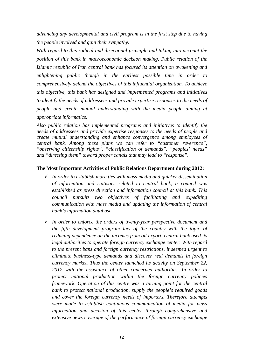*advancing any developmental and civil program is in the first step due to having the people involved and gain their sympathy.* 

*With regard to this radical and directional principle and taking into account the position of this bank in macroeconomic decision making, Public relation of the Islamic republic of Iran central bank has focused its attention on awakening and enlightening public though in the earliest possible time in order to comprehensively defend the objectives of this influential organization. To achieve this objective, this bank has designed and implemented programs and initiatives to identify the needs of addressees and provide expertise responses to the needs of people and create mutual understanding with the media people aiming at appropriate informatics.* 

*Also public relation has implemented programs and initiatives to identify the needs of addressees and provide expertise responses to the needs of people and create mutual understanding and enhance convergence among employees of central bank. Among these plans we can refer to "customer reverence", "observing citizenship rights", "classification of demands", "peoples' needs" and "directing them" toward proper canals that may lead to "response".* 

### **The Most Important Activities of Public Relations Department during 2012:**

- *In order to establish more ties with mass media and quicker dissemination of information and statistics related to central bank, a council was established as press direction and information council at this bank. This council pursuits two objectives of facilitating and expediting communication with mass media and updating the information of central bank's information database.*
- *In order to enforce the orders of twenty-year perspective document and the fifth development program law of the country with the topic of reducing dependence on the incomes from oil export, central bank used its legal authorities to operate foreign currency exchange center. With regard to the present bans and foreign currency restrictions, it seemed urgent to eliminate business-type demands and discover real demands in foreign currency market. Thus the center launched its activity on September 22, 2012 with the assistance of other concerned authorities. In order to protect national production within the foreign currency policies framework. Operation of this centre was a turning point for the central bank to protect national production, supply the people's required goods and cover the foreign currency needs of importers. Therefore attempts were made to establish continuous communication of media for news information and decision of this center through comprehensive and extensive news coverage of the performance of foreign currency exchange*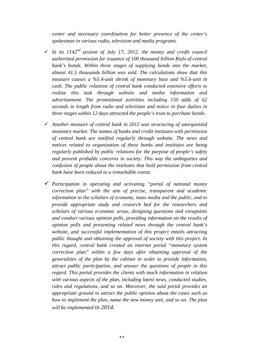*center and necessary coordination for better presence of the center's spokesman in various radio, television and media programs.* 

- $\checkmark$  In its  $1142^{nd}$  session of July 17, 2012, the money and credit council *authorized permission for issuance of 100 thousand billion Rials of central bank's bonds. Within three stages of supplying bonds into the market, almost 41.5 thousands billion was sold. The calculations show that this measure causes a %5.4-unit shrink of monetary base and %5.6-unit in cash. The public relations of central bank conducted extensive efforts to realize this task through website and media information and advertisement. The promotional activities including 150 adds of 62 seconds in length from radio and television and notice in four dailies in three stages within 12 days attracted the people's trust to purchase bonds.*
- *Another measure of central bank in 2012 was structuring of unorganized monetary market. The names of banks and credit institutes with permission of central bank are notified regularly through website. The news and notices related to organization of these banks and institutes are being regularly published by public relations for the purpose of people's safety and prevent probable concerns in society. This way the ambiguities and confusion of people about the institutes that hold permission from central bank have been reduced to a remarkable extent.*
- *Participation in operating and activating "portal of national money correction plan" with the aim of precise, transparent and academic information to the scholars of economy, mass media and the public, and to provide appropriate study and research bed for the researchers and scholars of various economic areas, designing questions and viewpoints and conduct various opinion polls, providing information on the results of opinion polls and presenting related news through the central bank's website, and successful implementation of this project entails attracting public thought and obtaining the approval of society with this project. In this regard, central bank created an internet portal "monetary system correction plan" within a few days after obtaining approval of the generalities of the plan by the cabinet in order to provide information, attract public participation, and answer the questions of people in this regard. This portal provides the clients with much information in relation with various aspects of the plan, including latest news, conducted studies, rules and regulations, and so on. Moreover, the said portal provides an appropriate ground to attract the public opinion about the cases such as how to implement the plan, name the new money unit, and so on. The plan will be implemented in 2014.*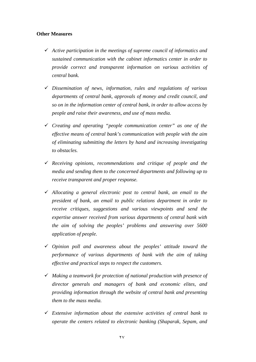### **Other Measures**

- *Active participation in the meetings of supreme council of informatics and sustained communication with the cabinet informatics center in order to provide correct and transparent information on various activities of central bank.*
- *Dissemination of news, information, rules and regulations of various departments of central bank, approvals of money and credit council, and so on in the information center of central bank, in order to allow access by people and raise their awareness, and use of mass media.*
- *Creating and operating "people communication center" as one of the effective means of central bank's communication with people with the aim of eliminating submitting the letters by hand and increasing investigating to obstacles.*
- *Receiving opinions, recommendations and critique of people and the media and sending them to the concerned departments and following up to receive transparent and proper response.*
- *Allocating a general electronic post to central bank, an email to the president of bank, an email to public relations department in order to receive critiques, suggestions and various viewpoints and send the expertise answer received from various departments of central bank with the aim of solving the peoples' problems and answering over 5600 application of people.*
- *Opinion poll and awareness about the peoples' attitude toward the performance of various departments of bank with the aim of taking effective and practical steps to respect the customers.*
- *Making a teamwork for protection of national production with presence of director generals and managers of bank and economic elites, and providing information through the website of central bank and presenting them to the mass media.*
- *Extensive information about the extensive activities of central bank to operate the centers related to electronic banking (Shaparak, Sepam, and*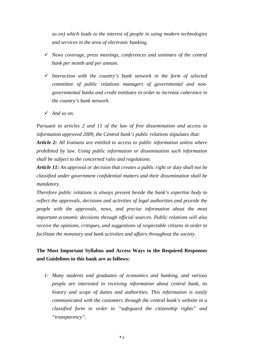*so on) which leads to the interest of people in using modern technologies and services in the area of electronic banking.* 

- *News coverage, press meetings, conferences and seminars of the central bank per month and per annum.*
- *Interaction with the country's bank network in the form of selected committee of public relations managers of governmental and nongovernmental banks and credit institutes in order to increase coherence in the country's bank network.*
- *And so on.*

*Pursuant to articles 2 and 11 of the law of free dissemination and access to information approved 2009, the Central bank's public relations stipulates that: Article 2: All Iranians are entitled to access to public information unless where prohibited by law. Using public information or dissemination such information shall be subject to the concerned rules and regulations.* 

*Article 11: An approval or decision that creates a public right or duty shall not be classified under government confidential matters and their dissemination shall be mandatory.* 

*Therefore public relations is always present beside the bank's expertise body to reflect the approvals, decisions and activities of legal authorities and provide the people with the approvals, news, and precise information about the most important economic decisions through official sources. Public relations will also receive the opinions, critiques, and suggestions of respectable citizens in order to facilitate the monetary and bank activities and affairs throughout the society.* 

# **The Most Important Syllabus and Access Ways to the Required Responses and Guidelines in this bank are as follows:**

*1- Many students and graduates of economics and banking, and various people are interested in receiving information about central bank, its history and scope of duties and authorities. This information is easily communicated with the customers through the central bank's website in a classified form in order to "safeguard the citizenship rights" and "transparency".*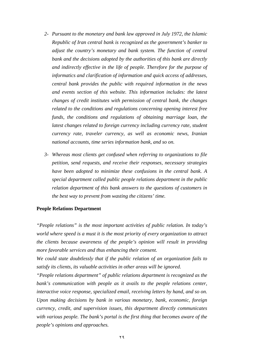- *2- Pursuant to the monetary and bank law approved in July 1972, the Islamic Republic of Iran central bank is recognized as the government's banker to adjust the country's monetary and bank system. The function of central bank and the decisions adopted by the authorities of this bank are directly and indirectly effective in the life of people. Therefore for the purpose of informatics and clarification of information and quick access of addresses, central bank provides the public with required information in the news and events section of this website. This information includes: the latest changes of credit institutes with permission of central bank, the changes related to the conditions and regulations concerning opening interest free funds, the conditions and regulations of obtaining marriage loan, the latest changes related to foreign currency including currency rate, student currency rate, traveler currency, as well as economic news, Iranian national accounts, time series information bank, and so on.*
- *3- Whereas most clients get confused when referring to organizations to file petition, send requests, and receive their responses, necessary strategies have been adopted to minimize these confusions in the central bank. A special department called public people relations department in the public relation department of this bank answers to the questions of customers in the best way to prevent from wasting the citizens' time.*

### **People Relations Department**

*"People relations" is the most important activities of public relation. In today's world where speed is a must it is the most priority of every organization to attract the clients because awareness of the people's opinion will result in providing more favorable services and thus enhancing their consent.* 

*We could state doubtlessly that if the public relation of an organization fails to satisfy its clients, its valuable activities in other areas will be ignored.* 

*"People relations department" of public relations department is recognized as the bank's communication with people as it avails to the people relations center, interactive voice response, specialized email, receiving letters by hand, and so on. Upon making decisions by bank in various monetary, bank, economic, foreign currency, credit, and supervision issues, this department directly communicates with various people. The bank's portal is the first thing that becomes aware of the people's opinions and approaches.*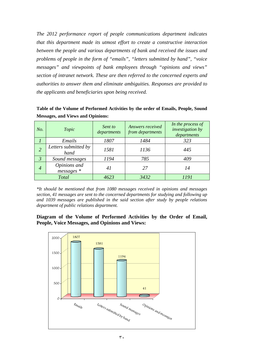*The 2012 performance report of people communications department indicates that this department made its utmost effort to create a constructive interaction between the people and various departments of bank and received the issues and problems of people in the form of "emails", "letters submitted by hand", "voice messages" and viewpoints of bank employees through "opinions and views" section of intranet network. These are then referred to the concerned experts and authorities to answer them and eliminate ambiguities. Responses are provided to the applicants and beneficiaries upon being received.* 

**Table of the Volume of Performed Activities by the order of Emails, People, Sound Messages, and Views and Opinions:** 

| No.            | Topic                        | Sent to<br>departments | Answers received<br>from departments | In the process of<br><i>investigation by</i><br>departments |
|----------------|------------------------------|------------------------|--------------------------------------|-------------------------------------------------------------|
|                | Emails                       | 1807                   | 1484                                 | 323                                                         |
| $\overline{2}$ | Letters submitted by<br>hand | 1581                   | 1136                                 | 445                                                         |
| $\mathfrak{Z}$ | Sound messages               | 1194                   | 785                                  | 409                                                         |
| 4              | Opinions and<br>$messages$ * | 41                     | 27                                   | 14                                                          |
| <b>Total</b>   |                              | 4623                   | 3432                                 | 1191                                                        |

*\*It should be mentioned that from 1080 messages received in opinions and messages section, 41 messages are sent to the concerned departments for studying and following up and 1039 messages are published in the said section after study by people relations department of public relations department.* 

**Diagram of the Volume of Performed Activities by the Order of Email, People, Voice Messages, and Opinions and Views:** 

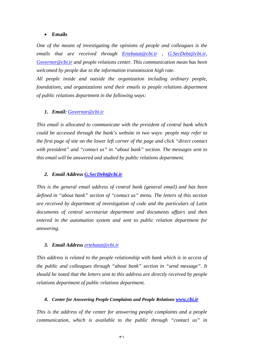### **Emails**

*One of the means of investigating the opinions of people and colleagues is the emails that are received through Ertebatat@cbi.ir , G.SecDebt@cbi.ir, Governor@cbi.ir and people relations center. This communication mean has been welcomed by people due to the information transmission high rate.* 

*All people inside and outside the organization including ordinary people, foundations, and organizations send their emails to people relations department of public relations department in the following ways:* 

### *1. Email: Governor@cbi.ir*

*This email is allocated to communicate with the president of central bank which could be accessed through the bank's website in two ways: people may refer to the first page of site on the lower left corner of the page and click "direct contact with president" and "contact us" in "about bank" section. The messages sent to this email will be answered and studied by public relations department.* 

### *2. Email Address G.SecDebt@cbi.ir*

*This is the general email address of central bank (general email) and has been defined in "about bank" section of "contact us" menu. The letters of this section are received by department of investigation of code and the particulars of Latin documents of central secretariat department and documents affairs and then entered in the automation system and sent to public relation department for answering.* 

### *3. Email Address ertebatat@cbi.ir*

*This address is related to the people relationship with bank which is in access of the public and colleagues through "about bank" section in "send message". It should be noted that the letters sent to this address are directly received by people relations department of public relations department.* 

### *4. Center for Answering People Complaints and People Relations www.cbi.ir*

*This is the address of the center for answering people complaints and a people communication, which is available to the public through "contact us" in*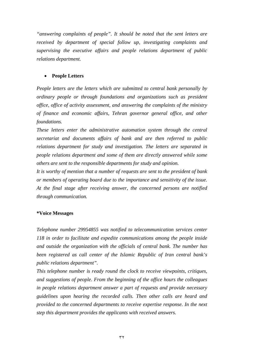*"answering complaints of people". It should be noted that the sent letters are received by department of special follow up, investigating complaints and supervising the executive affairs and people relations department of public relations department.* 

### **People Letters**

*People letters are the letters which are submitted to central bank personally by ordinary people or through foundations and organizations such as president office, office of activity assessment, and answering the complaints of the ministry of finance and economic affairs, Tehran governor general office, and other foundations.* 

*These letters enter the administrative automation system through the central secretariat and documents affairs of bank and are then referred to public relations department for study and investigation. The letters are separated in people relations department and some of them are directly answered while some others are sent to the responsible departments for study and opinion.* 

*It is worthy of mention that a number of requests are sent to the president of bank or members of operating board due to the importance and sensitivity of the issue. At the final stage after receiving answer, the concerned persons are notified through communication.* 

#### **\*Voice Messages**

*Telephone number 29954855 was notified to telecommunication services center 118 in order to facilitate and expedite communications among the people inside and outside the organization with the officials of central bank. The number has been registered as call center of the Islamic Republic of Iran central bank's public relations department".* 

*This telephone number is ready round the clock to receive viewpoints, critiques, and suggestions of people. From the beginning of the office hours the colleagues in people relations department answer a part of requests and provide necessary guidelines upon hearing the recorded calls. Then other calls are heard and provided to the concerned departments to receive expertise response. In the next step this department provides the applicants with received answers.*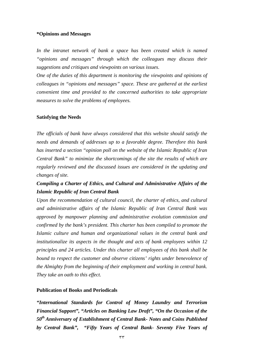#### **\*Opinions and Messages**

In the intranet network of bank a space has been created which is named *"opinions and messages" through which the colleagues may discuss their suggestions and critiques and viewpoints on various issues.* 

*One of the duties of this department is monitoring the viewpoints and opinions of colleagues in "opinions and messages" space. These are gathered at the earliest convenient time and provided to the concerned authorities to take appropriate measures to solve the problems of employees.* 

### **Satisfying the Needs**

*The officials of bank have always considered that this website should satisfy the needs and demands of addresses up to a favorable degree. Therefore this bank has inserted a section "opinion poll on the website of the Islamic Republic of Iran Central Bank" to minimize the shortcomings of the site the results of which are regularly reviewed and the discussed issues are considered in the updating and changes of site.* 

# *Compiling a Charter of Ethics, and Cultural and Administrative Affairs of the Islamic Republic of Iran Central Bank*

*Upon the recommendation of cultural council, the charter of ethics, and cultural and administrative affairs of the Islamic Republic of Iran Central Bank was approved by manpower planning and administrative evolution commission and confirmed by the bank's president. This charter has been compiled to promote the Islamic culture and human and organizational values in the central bank and institutionalize its aspects in the thought and acts of bank employees within 12 principles and 24 articles. Under this charter all employees of this bank shall be bound to respect the customer and observe citizens' rights under benevolence of the Almighty from the beginning of their employment and working in central bank. They take an oath to this effect.* 

### **Publication of Books and Periodicals**

*"International Standards for Control of Money Laundry and Terrorism Financial Support", "Articles on Banking Law Draft", "On the Occasion of the 50th Anniversary of Establishment of Central Bank- Notes and Coins Published by Central Bank", "Fifty Years of Central Bank- Seventy Five Years of*